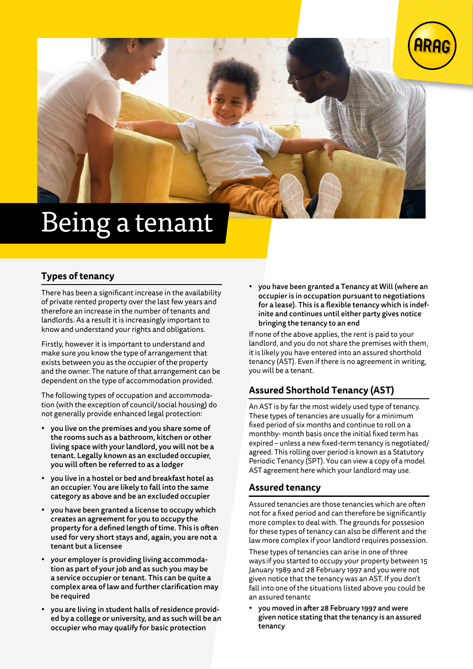



# Being a tenant

## **Types of tenancy**

There has been a significant increase in the availability of private rented property over the last few years and therefore an increase in the number of tenants and landlords. As a result it is increasingly important to know and understand your rights and obligations.

Firstly, however it is important to understand and make sure you know the type of arrangement that exists between you as the occupier of the property and the owner. The nature of that arrangement can be dependent on the type of accommodation provided.

The following types of occupation and accommodation (with the exception of council/social housing) do not generally provide enhanced legal protection:

- you live on the premises and you share some of the rooms such as a bathroom, kitchen or other living space with your landlord, you will not be a tenant. Legally known as an excluded occupier, you will often be referred to as a lodger
- you live in a hostel or bed and breakfast hotel as an occupier. You are likely to fall into the same category as above and be an excluded occupier
- you have been granted a license to occupy which creates an agreement for you to occupy the property for a defined length of time. This is often used for very short stays and, again, you are not a tenant but a licensee
- your employer is providing living accommodation as part of your job and as such you may be a service occupier or tenant. This can be quite a complex area of law and further clarification may be required
- you are living in student halls of residence provided by a college or university, and as such will be an occupier who may qualify for basic protection

• you have been granted a Tenancy at Will (where an occupier is in occupation pursuant to negotiations for a lease). This is a flexible tenancy which is indefinite and continues until either party gives notice bringing the tenancy to an end

If none of the above applies, the rent is paid to your landlord, and you do not share the premises with them, it is likely you have entered into an assured shorthold tenancy (AST). Even if there is no agreement in writing, you will be a tenant.

## **Assured Shorthold Tenancy (AST)**

An AST is by far the most widely used type of tenancy. These types of tenancies are usually for a minimum fixed period of six months and continue to roll on a monthby- month basis once the initial fixed term has expired – unless a new fixed-term tenancy is negotiated/ agreed. This rolling over period is known as a Statutory Periodic Tenancy (SPT). You can view a copy of a model AST agreement here which your landlord may use.

## **Assured tenancy**

Assured tenancies are those tenancies which are often not for a fixed period and can therefore be significantly more complex to deal with. The grounds for possesion for these types of tenancy can also be different and the law more complex if your landlord requires possession.

These types of tenancies can arise in one of three ways:if you started to occupy your property between 15 January 1989 and 28 February 1997 and you were not given notice that the tenancy was an AST. If you don't fall into one of the situations listed above you could be an assured tenantc

• you moved in after 28 February 1997 and were given notice stating that the tenancy is an assured tenancy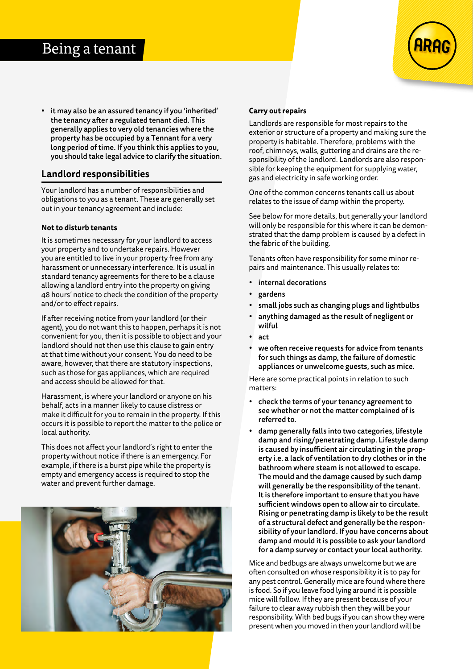## Being a tenant

• it may also be an assured tenancy if you 'inherited' the tenancy after a regulated tenant died. This generally applies to very old tenancies where the property has be occupied by a Tennant for a very long period of time. If you think this applies to you, you should take legal advice to clarify the situation.

### **Landlord responsibilities**

Your landlord has a number of responsibilities and obligations to you as a tenant. These are generally set out in your tenancy agreement and include:

#### **Not to disturb tenants**

It is sometimes necessary for your landlord to access your property and to undertake repairs. However you are entitled to live in your property free from any harassment or unnecessary interference. It is usual in standard tenancy agreements for there to be a clause allowing a landlord entry into the property on giving 48 hours' notice to check the condition of the property and/or to effect repairs.

If after receiving notice from your landlord (or their agent), you do not want this to happen, perhaps it is not convenient for you, then it is possible to object and your landlord should not then use this clause to gain entry at that time without your consent. You do need to be aware, however, that there are statutory inspections, such as those for gas appliances, which are required and access should be allowed for that.

Harassment, is where your landlord or anyone on his behalf, acts in a manner likely to cause distress or make it difficult for you to remain in the property. If this occurs it is possible to report the matter to the police or local authority.

This does not affect your landlord's right to enter the property without notice if there is an emergency. For example, if there is a burst pipe while the property is empty and emergency access is required to stop the water and prevent further damage.



#### **Carry out repairs**

Landlords are responsible for most repairs to the exterior or structure of a property and making sure the property is habitable. Therefore, problems with the roof, chimneys, walls, guttering and drains are the responsibility of the landlord. Landlords are also responsible for keeping the equipment for supplying water, gas and electricity in safe working order.

One of the common concerns tenants call us about relates to the issue of damp within the property.

See below for more details, but generally your landlord will only be responsible for this where it can be demonstrated that the damp problem is caused by a defect in the fabric of the building.

Tenants often have responsibility for some minor repairs and maintenance. This usually relates to:

- internal decorations
- gardens
- small jobs such as changing plugs and lightbulbs
- anything damaged as the result of negligent or wilful
- act
- we often receive requests for advice from tenants for such things as damp, the failure of domestic appliances or unwelcome guests, such as mice.

Here are some practical points in relation to such matters:

- check the terms of your tenancy agreement to see whether or not the matter complained of is referred to.
- damp generally falls into two categories, lifestyle damp and rising/penetrating damp. Lifestyle damp is caused by insufficient air circulating in the property i.e. a lack of ventilation to dry clothes or in the bathroom where steam is not allowed to escape. The mould and the damage caused by such damp will generally be the responsibility of the tenant. It is therefore important to ensure that you have sufficient windows open to allow air to circulate. Rising or penetrating damp is likely to be the result of a structural defect and generally be the responsibility of your landlord. If you have concerns about damp and mould it is possible to ask your landlord for a damp survey or contact your local authority.

Mice and bedbugs are always unwelcome but we are often consulted on whose responsibility it is to pay for any pest control. Generally mice are found where there is food. So if you leave food lying around it is possible mice will follow. If they are present because of your failure to clear away rubbish then they will be your responsibility. With bed bugs if you can show they were present when you moved in then your landlord will be

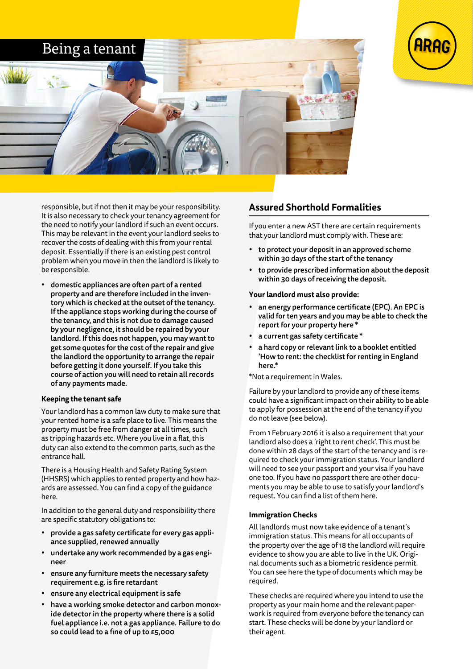



responsible, but if not then it may be your responsibility. It is also necessary to check your tenancy agreement for the need to notify your landlord if such an event occurs. This may be relevant in the event your landlord seeks to recover the costs of dealing with this from your rental deposit. Essentially if there is an existing pest control problem when you move in then the landlord is likely to be responsible.

• domestic appliances are often part of a rented property and are therefore included in the inventory which is checked at the outset of the tenancy. If the appliance stops working during the course of the tenancy, and this is not due to damage caused by your negligence, it should be repaired by your landlord. If this does not happen, you may want to get some quotes for the cost of the repair and give the landlord the opportunity to arrange the repair before getting it done yourself. If you take this course of action you will need to retain all records of any payments made.

#### **Keeping the tenant safe**

Your landlord has a common law duty to make sure that your rented home is a safe place to live. This means the property must be free from danger at all times, such as tripping hazards etc. Where you live in a flat, this duty can also extend to the common parts, such as the entrance hall.

There is a Housing Health and Safety Rating System (HHSRS) which applies to rented property and how hazards are assessed. You can find a copy of the guidance here.

In addition to the general duty and responsibility there are specific statutory obligations to:

- provide a gas safety certificate for every gas appliance supplied, renewed annually
- undertake any work recommended by a gas engineer
- ensure any furniture meets the necessary safety requirement e.g. is fire retardant
- ensure any electrical equipment is safe
- have a working smoke detector and carbon monoxide detector in the property where there is a solid fuel appliance i.e. not a gas appliance. Failure to do so could lead to a fine of up to £5,000

## **Assured Shorthold Formalities**

If you enter a new AST there are certain requirements that your landlord must comply with. These are:

- to protect your deposit in an approved scheme within 30 days of the start of the tenancy
- to provide prescribed information about the deposit within 30 days of receiving the deposit.

#### **Your landlord must also provide:**

- an energy performance certificate (EPC). An EPC is valid for ten years and you may be able to check the report for your property here \*
- a current gas safety certificate \*
- a hard copy or relevant link to a booklet entitled 'How to rent: the checklist for renting in England here.\*

\*Not a requirement in Wales.

Failure by your landlord to provide any of these items could have a significant impact on their ability to be able to apply for possession at the end of the tenancy if you do not leave (see below).

From 1 February 2016 it is also a requirement that your landlord also does a 'right to rent check'. This must be done within 28 days of the start of the tenancy and is required to check your immigration status. Your landlord will need to see your passport and your visa if you have one too. If you have no passport there are other documents you may be able to use to satisfy your landlord's request. You can find a list of them here.

#### **Immigration Checks**

All landlords must now take evidence of a tenant's immigration status. This means for all occupants of the property over the age of 18 the landlord will require evidence to show you are able to live in the UK. Original documents such as a biometric residence permit. You can see here the type of documents which may be required.

These checks are required where you intend to use the property as your main home and the relevant paperwork is required from everyone before the tenancy can start. These checks will be done by your landlord or their agent.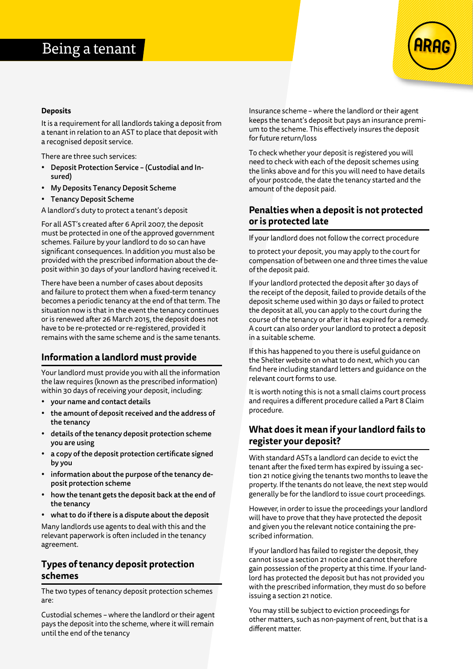

#### **Deposits**

It is a requirement for all landlords taking a deposit from a tenant in relation to an AST to place that deposit with a recognised deposit service.

There are three such services:

- Deposit Protection Service (Custodial and Insured)
- My Deposits Tenancy Deposit Scheme
- Tenancy Deposit Scheme

A landlord's duty to protect a tenant's deposit

For all AST's created after 6 April 2007, the deposit must be protected in one of the approved government schemes. Failure by your landlord to do so can have significant consequences. In addition you must also be provided with the prescribed information about the deposit within 30 days of your landlord having received it.

There have been a number of cases about deposits and failure to protect them when a fixed-term tenancy becomes a periodic tenancy at the end of that term. The situation now is that in the event the tenancy continues or is renewed after 26 March 2015, the deposit does not have to be re-protected or re-registered, provided it remains with the same scheme and is the same tenants.

## **Information a landlord must provide**

Your landlord must provide you with all the information the law requires (known as the prescribed information) within 30 days of receiving your deposit, including:

- your name and contact details
- the amount of deposit received and the address of the tenancy
- details of the tenancy deposit protection scheme you are using
- a copy of the deposit protection certificate signed by you
- information about the purpose of the tenancy deposit protection scheme
- how the tenant gets the deposit back at the end of the tenancy
- what to do if there is a dispute about the deposit

Many landlords use agents to deal with this and the relevant paperwork is often included in the tenancy agreement.

## **Types of tenancy deposit protection schemes**

The two types of tenancy deposit protection schemes are:

Custodial schemes – where the landlord or their agent pays the deposit into the scheme, where it will remain until the end of the tenancy

Insurance scheme – where the landlord or their agent keeps the tenant's deposit but pays an insurance premium to the scheme. This effectively insures the deposit for future return/loss

To check whether your deposit is registered you will need to check with each of the deposit schemes using the links above and for this you will need to have details of your postcode, the date the tenancy started and the amount of the deposit paid.

## **Penalties when a deposit is not protected or is protected late**

If your landlord does not follow the correct procedure

to protect your deposit, you may apply to the court for compensation of between one and three times the value of the deposit paid.

If your landlord protected the deposit after 30 days of the receipt of the deposit, failed to provide details of the deposit scheme used within 30 days or failed to protect the deposit at all, you can apply to the court during the course of the tenancy or after it has expired for a remedy. A court can also order your landlord to protect a deposit in a suitable scheme.

If this has happened to you there is useful guidance on the Shelter website on what to do next, which you can find here including standard letters and guidance on the relevant court forms to use.

It is worth noting this is not a small claims court process and requires a different procedure called a Part 8 Claim procedure.

## **What does it mean if your landlord fails to register your deposit?**

With standard ASTs a landlord can decide to evict the tenant after the fixed term has expired by issuing a section 21 notice giving the tenants two months to leave the property. If the tenants do not leave, the next step would generally be for the landlord to issue court proceedings.

However, in order to issue the proceedings your landlord will have to prove that they have protected the deposit and given you the relevant notice containing the prescribed information.

If your landlord has failed to register the deposit, they cannot issue a section 21 notice and cannot therefore gain possession of the property at this time. If your landlord has protected the deposit but has not provided you with the prescribed information, they must do so before issuing a section 21 notice.

You may still be subject to eviction proceedings for other matters, such as non-payment of rent, but that is a different matter.